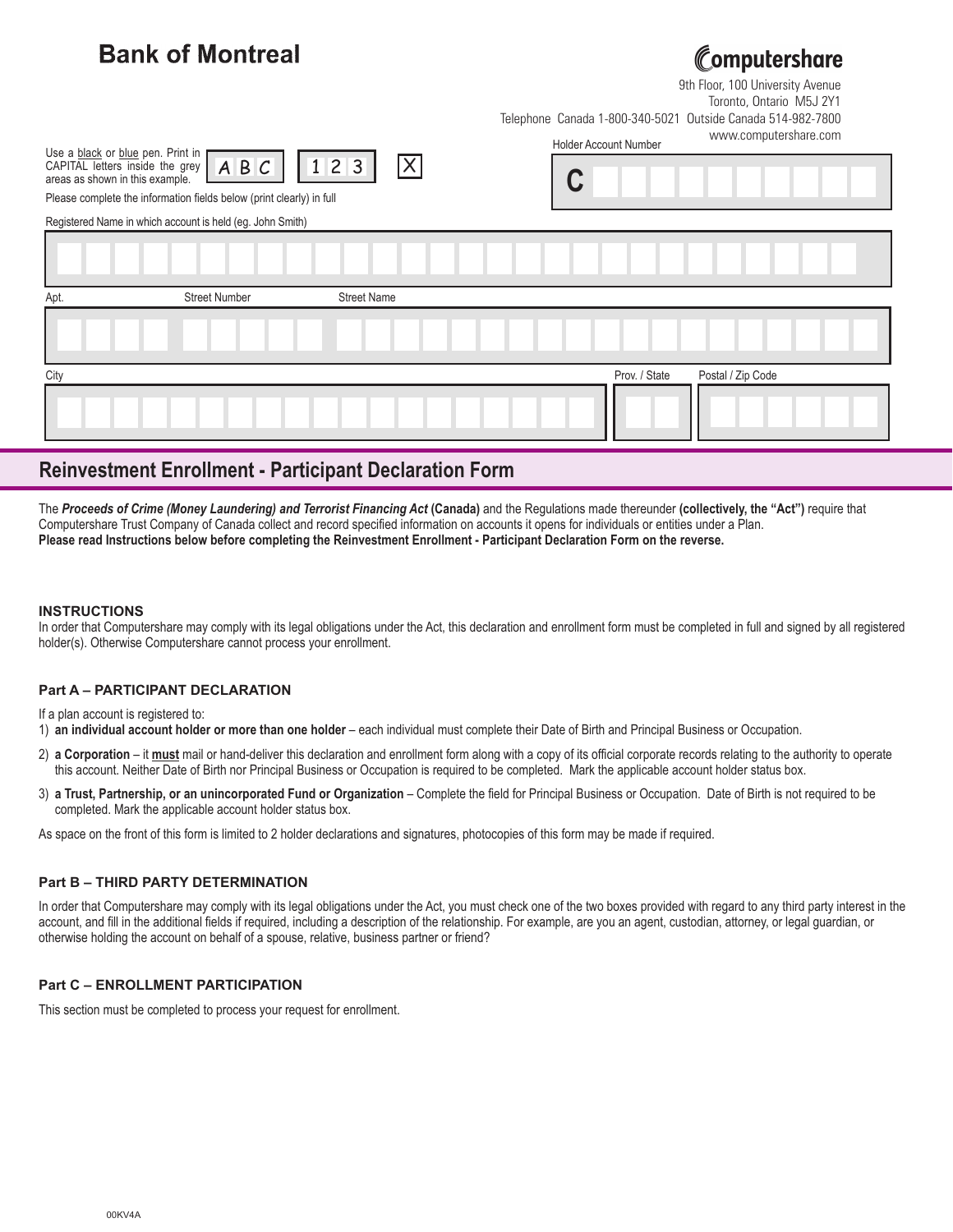| <b>Bank of Montreal</b>                                                                                                                                                                                         | Computershare<br>9th Floor, 100 University Avenue<br>Toronto, Ontario M5J 2Y1<br>Outside Canada 514-982-7800<br>Telephone Canada 1-800-340-5021<br>www.computershare.com<br><b>Holder Account Number</b> |
|-----------------------------------------------------------------------------------------------------------------------------------------------------------------------------------------------------------------|----------------------------------------------------------------------------------------------------------------------------------------------------------------------------------------------------------|
| Use a black or blue pen. Print in<br>$ \mathsf{X} $<br>ABC<br>123<br>CAPITAL letters inside the grey<br>areas as shown in this example.<br>Please complete the information fields below (print clearly) in full |                                                                                                                                                                                                          |
| Registered Name in which account is held (eg. John Smith)                                                                                                                                                       |                                                                                                                                                                                                          |
|                                                                                                                                                                                                                 |                                                                                                                                                                                                          |
| <b>Street Number</b><br><b>Street Name</b><br>Apt.                                                                                                                                                              |                                                                                                                                                                                                          |
|                                                                                                                                                                                                                 |                                                                                                                                                                                                          |
| City                                                                                                                                                                                                            | Prov. / State<br>Postal / Zip Code                                                                                                                                                                       |
|                                                                                                                                                                                                                 |                                                                                                                                                                                                          |

## **Reinvestment Enrollment - Participant Declaration Form**

The *Proceeds of Crime (Money Laundering) and Terrorist Financing Act* **(Canada)** and the Regulations made thereunder **(collectively, the "Act")** require that Computershare Trust Company of Canada collect and record specified information on accounts it opens for individuals or entities under a Plan. **Please read Instructions below before completing the Reinvestment Enrollment - Participant Declaration Form on the reverse.**

### **INSTRUCTIONS**

In order that Computershare may comply with its legal obligations under the Act, this declaration and enrollment form must be completed in full and signed by all registered holder(s). Otherwise Computershare cannot process your enrollment.

### **Part A – PARTICIPANT DECLARATION**

If a plan account is registered to:

1) **an individual account holder or more than one holder** – each individual must complete their Date of Birth and Principal Business or Occupation.

- 2) **a Corporation** it **must** mail or hand-deliver this declaration and enrollment form along with a copy of its official corporate records relating to the authority to operate this account. Neither Date of Birth nor Principal Business or Occupation is required to be completed. Mark the applicable account holder status box.
- 3) **a Trust, Partnership, or an unincorporated Fund or Organization** Complete the field for Principal Business or Occupation. Date of Birth is not required to be completed. Mark the applicable account holder status box.

As space on the front of this form is limited to 2 holder declarations and signatures, photocopies of this form may be made if required.

### **Part B – THIRD PARTY DETERMINATION**

In order that Computershare may comply with its legal obligations under the Act, you must check one of the two boxes provided with regard to any third party interest in the account, and fill in the additional fields if required, including a description of the relationship. For example, are you an agent, custodian, attorney, or legal guardian, or otherwise holding the account on behalf of a spouse, relative, business partner or friend?

### **Part C – ENROLLMENT PARTICIPATION**

This section must be completed to process your request for enrollment.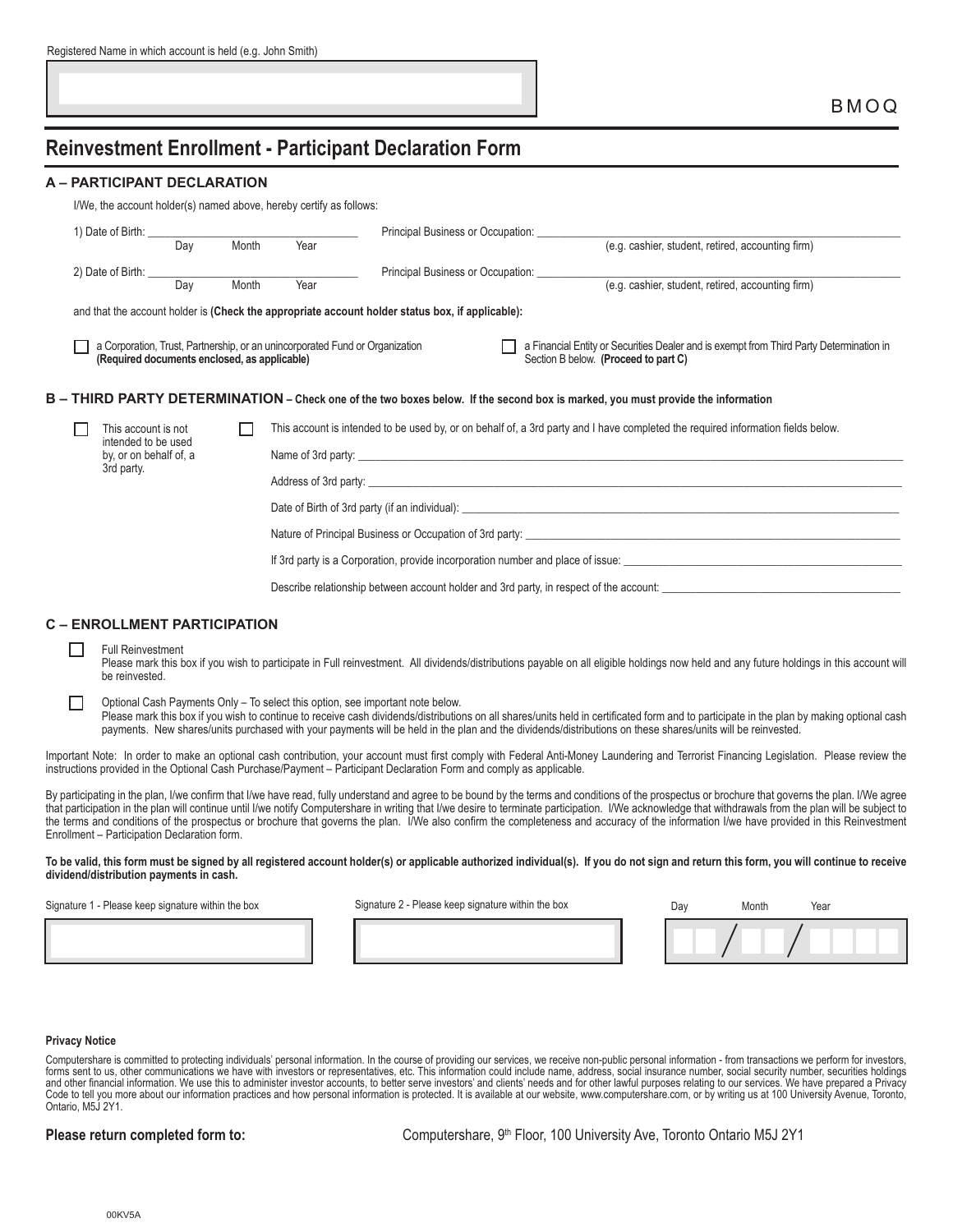|                             |     |       |                                                                     |                                                               |                                                   | BMOQ |
|-----------------------------|-----|-------|---------------------------------------------------------------------|---------------------------------------------------------------|---------------------------------------------------|------|
|                             |     |       |                                                                     |                                                               |                                                   |      |
|                             |     |       |                                                                     | <b>Reinvestment Enrollment - Participant Declaration Form</b> |                                                   |      |
| A - PARTICIPANT DECLARATION |     |       |                                                                     |                                                               |                                                   |      |
|                             |     |       | I/We, the account holder(s) named above, hereby certify as follows: |                                                               |                                                   |      |
|                             |     |       |                                                                     |                                                               |                                                   |      |
|                             |     |       |                                                                     | Principal Business or Occupation:                             |                                                   |      |
|                             | Dav | Month | Year                                                                |                                                               | (e.g. cashier, student, retired, accounting firm) |      |
| 2) Date of Birth: ______    | Day | Month |                                                                     | Principal Business or Occupation:                             |                                                   |      |

### **B – THIRD PARTY DETERMINATION – Check one of the two boxes below. If the second box is marked, you must provide the information**

|  | This account is not<br>intended to be used<br>by, or on behalf of, a<br>3rd party. |  | This account is intended to be used by, or on behalf of, a 3rd party and I have completed the required information fields below.<br>Date of Birth of 3rd party (if an individual): |
|--|------------------------------------------------------------------------------------|--|------------------------------------------------------------------------------------------------------------------------------------------------------------------------------------|
|  |                                                                                    |  |                                                                                                                                                                                    |
|  |                                                                                    |  |                                                                                                                                                                                    |
|  |                                                                                    |  | Nature of Principal Business or Occupation of 3rd party:                                                                                                                           |
|  |                                                                                    |  | If 3rd party is a Corporation, provide incorporation number and place of issue:                                                                                                    |
|  |                                                                                    |  | Describe relationship between account holder and 3rd party, in respect of the account:                                                                                             |
|  |                                                                                    |  |                                                                                                                                                                                    |

Section B below. **(Proceed to part C)**

### **C – ENROLLMENT PARTICIPATION**

**(Required documents enclosed, as applicable)**

### Full Reinvestment

П

Please mark this box if you wish to participate in Full reinvestment. All dividends/distributions payable on all eligible holdings now held and any future holdings in this account will be reinvested.

П. Optional Cash Payments Only – To select this option, see important note below. Please mark this box if you wish to continue to receive cash dividends/distributions on all shares/units held in certificated form and to participate in the plan by making optional cash payments. New shares/units purchased with your payments will be held in the plan and the dividends/distributions on these shares/units will be reinvested.

Important Note: In order to make an optional cash contribution, your account must first comply with Federal Anti-Money Laundering and Terrorist Financing Legislation. Please review the instructions provided in the Optional Cash Purchase/Payment – Participant Declaration Form and comply as applicable.

By participating in the plan, I/we confirm that I/we have read, fully understand and agree to be bound by the terms and conditions of the prospectus or brochure that governs the plan. I/We agree that participation in the plan will continue until I/we notify Computershare in writing that I/we desire to terminate participation. I/We acknowledge that withdrawals from the plan will be subject to the terms and conditions of the prospectus or brochure that governs the plan. I/We also confirm the completeness and accuracy of the information I/we have provided in this Reinvestment Enrollment – Participation Declaration form.

**To be valid, this form must be signed by all registered account holder(s) or applicable authorized individual(s). If you do not sign and return this form, you will continue to receive dividend/distribution payments in cash.** 

Signature 1 - Please keep signature within the box Signature 2 - Please keep signature within the box

| Signature 2 - Please keep signature within the bo |  |  |  |
|---------------------------------------------------|--|--|--|

| Day | Month | Year |  |
|-----|-------|------|--|
|     |       |      |  |

### **Privacy Notice**

Computershare is committed to protecting individuals' personal information. In the course of providing our services, we receive non-public personal information - from transactions we perform for investors, forms sent to us, other communications we have with investors or representatives, etc. This information could include name, address, social insurance number, social security number, securities holdings and other financial information. We use this to administer investor accounts, to better serve investors' and clients' needs and for other lawful purposes relating to our services. We have prepared a Privacy Code to tell you more about our information practices and how personal information is protected. It is available at our website, www.computershare.com, or by writing us at 100 University Avenue, Toronto, Ontario, M5J 2Y1.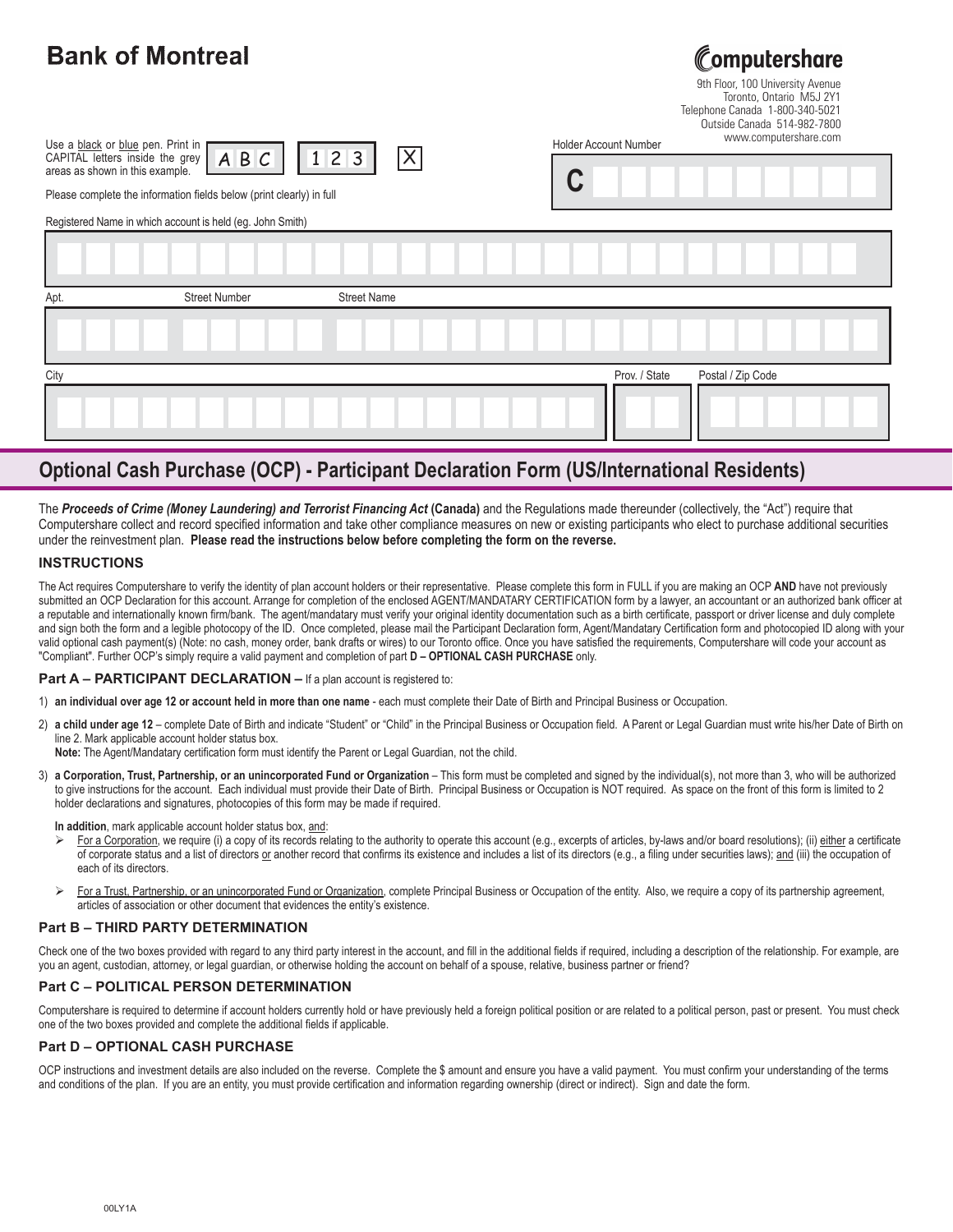# **Bank of Montreal**

**omputershare** 

9th Floor, 100 University Avenue Toronto, Ontario M5J 2Y1 Telephone Canada 1-800-340-5021 Outside Canada 514-982-7800

| Use a black or blue pen. Print in                                             | Holder Account Number | www.computershare.com |
|-------------------------------------------------------------------------------|-----------------------|-----------------------|
| CAPITAL letters inside the grey $A B C$ 11<br>areas as shown in this example. |                       |                       |

Please complete the information fields below (print clearly) in full

|  | <b>Holder Account Number</b> |  | MAAATILINULEI SIIGIETOIIII |  |  |
|--|------------------------------|--|----------------------------|--|--|
|  |                              |  |                            |  |  |

Registered Name in which account is held (eg. John Smith)

| Apt. | <b>Street Number</b> | <b>Street Name</b> |                                    |
|------|----------------------|--------------------|------------------------------------|
|      |                      |                    |                                    |
| City |                      |                    | Postal / Zip Code<br>Prov. / State |
|      |                      |                    |                                    |

# **Optional Cash Purchase (OCP) - Participant Declaration Form (US/International Residents)**

The **Proceeds of Crime (Money Laundering) and Terrorist Financing Act (Canada)** and the Regulations made thereunder (collectively, the "Act") require that Computershare collect and record specified information and take other compliance measures on new or existing participants who elect to purchase additional securities under the reinvestment plan. **Please read the instructions below before completing the form on the reverse.**

### **INSTRUCTIONS**

The Act requires Computershare to verify the identity of plan account holders or their representative. Please complete this form in FULL if you are making an OCP **AND** have not previously submitted an OCP Declaration for this account. Arrange for completion of the enclosed AGENT/MANDATARY CERTIFICATION form by a lawyer, an accountant or an authorized bank officer at a reputable and internationally known firm/bank. The agent/mandatary must verify your original identity documentation such as a birth certificate, passport or driver license and duly complete and sign both the form and a legible photocopy of the ID. Once completed, please mail the Participant Declaration form, Agent/Mandatary Certification form and photocopied ID along with your valid optional cash payment(s) (Note: no cash, money order, bank drafts or wires) to our Toronto office. Once you have satisfied the requirements, Computershare will code your account as "Compliant". Further OCP's simply require a valid payment and completion of part **D – OPTIONAL CASH PURCHASE** only.

### **Part A – PARTICIPANT DECLARATION –** If a plan account is registered to:

- 1) **an individual over age 12 or account held in more than one name** each must complete their Date of Birth and Principal Business or Occupation.
- 2) **a child under age 12** complete Date of Birth and indicate "Student" or "Child" in the Principal Business or Occupation field. A Parent or Legal Guardian must write his/her Date of Birth on line 2. Mark applicable account holder status box.
	- **Note:** The Agent/Mandatary certification form must identify the Parent or Legal Guardian, not the child.
- 3) **a Corporation, Trust, Partnership, or an unincorporated Fund or Organization** This form must be completed and signed by the individual(s), not more than 3, who will be authorized to give instructions for the account. Each individual must provide their Date of Birth. Principal Business or Occupation is NOT required. As space on the front of this form is limited to 2 holder declarations and signatures, photocopies of this form may be made if required.

**In addition**, mark applicable account holder status box, and:

- -For a Corporation, we require (i) a copy of its records relating to the authority to operate this account (e.g., excerpts of articles, by-laws and/or board resolutions); (ii) either a certificate of corporate status and a list of directors or another record that confirms its existence and includes a list of its directors (e.g., a filing under securities laws); and (iii) the occupation of each of its directors.
- $\blacktriangleright$ For a Trust, Partnership, or an unincorporated Fund or Organization, complete Principal Business or Occupation of the entity. Also, we require a copy of its partnership agreement, articles of association or other document that evidences the entity's existence.

### **Part B – THIRD PARTY DETERMINATION**

Check one of the two boxes provided with regard to any third party interest in the account, and fill in the additional fields if required, including a description of the relationship. For example, are you an agent, custodian, attorney, or legal guardian, or otherwise holding the account on behalf of a spouse, relative, business partner or friend?

### **Part C – POLITICAL PERSON DETERMINATION**

Computershare is required to determine if account holders currently hold or have previously held a foreign political position or are related to a political person, past or present. You must check one of the two boxes provided and complete the additional fields if applicable.

### **Part D – OPTIONAL CASH PURCHASE**

OCP instructions and investment details are also included on the reverse. Complete the \$ amount and ensure you have a valid payment. You must confirm your understanding of the terms and conditions of the plan. If you are an entity, you must provide certification and information regarding ownership (direct or indirect). Sign and date the form.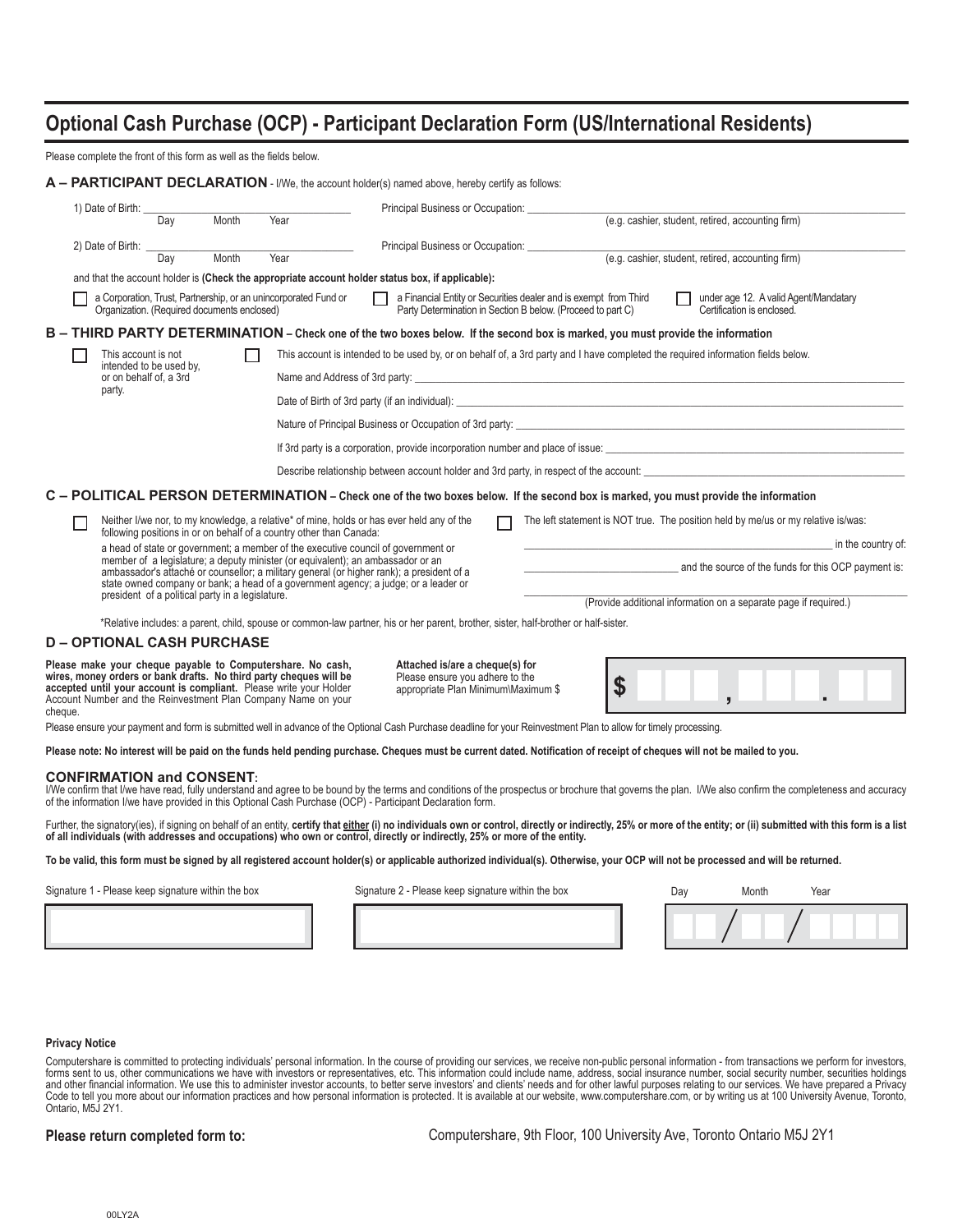# **Optional Cash Purchase (OCP) - Participant Declaration Form (US/International Residents)**

Please complete the front of this form as well as the fields below.

|         |                                                |     |                                                  |                                                                                                                                                                                                                                                                         | A - PARTICIPANT DECLARATION - I/We, the account holder(s) named above, hereby certify as follows:                                                                                                                                                                   |  |                                                                                                                                 |                                                   |                            |                                       |  |
|---------|------------------------------------------------|-----|--------------------------------------------------|-------------------------------------------------------------------------------------------------------------------------------------------------------------------------------------------------------------------------------------------------------------------------|---------------------------------------------------------------------------------------------------------------------------------------------------------------------------------------------------------------------------------------------------------------------|--|---------------------------------------------------------------------------------------------------------------------------------|---------------------------------------------------|----------------------------|---------------------------------------|--|
|         | 1) Date of Birth:                              |     |                                                  |                                                                                                                                                                                                                                                                         |                                                                                                                                                                                                                                                                     |  | Principal Business or Occupation: (e.g. cashier, student, retired, accounting firm)                                             |                                                   |                            |                                       |  |
|         |                                                | Dav | Month                                            | Year                                                                                                                                                                                                                                                                    |                                                                                                                                                                                                                                                                     |  |                                                                                                                                 |                                                   |                            |                                       |  |
|         | 2) Date of Birth: $\frac{1}{\sqrt{2\pi}}$      |     |                                                  |                                                                                                                                                                                                                                                                         | Principal Business or Occupation:                                                                                                                                                                                                                                   |  |                                                                                                                                 |                                                   |                            |                                       |  |
|         |                                                |     | Month                                            | Year                                                                                                                                                                                                                                                                    |                                                                                                                                                                                                                                                                     |  |                                                                                                                                 | (e.g. cashier, student, retired, accounting firm) |                            |                                       |  |
|         |                                                |     |                                                  |                                                                                                                                                                                                                                                                         | and that the account holder is (Check the appropriate account holder status box, if applicable):                                                                                                                                                                    |  |                                                                                                                                 |                                                   |                            |                                       |  |
|         |                                                |     | Organization. (Required documents enclosed)      | a Corporation, Trust, Partnership, or an unincorporated Fund or                                                                                                                                                                                                         | $\Box$                                                                                                                                                                                                                                                              |  | a Financial Entity or Securities dealer and is exempt from Third<br>Party Determination in Section B below. (Proceed to part C) |                                                   | Certification is enclosed. | under age 12. A valid Agent/Mandatary |  |
|         |                                                |     |                                                  |                                                                                                                                                                                                                                                                         | B - THIRD PARTY DETERMINATION - Check one of the two boxes below. If the second box is marked, you must provide the information                                                                                                                                     |  |                                                                                                                                 |                                                   |                            |                                       |  |
|         | This account is not<br>intended to be used by. |     |                                                  |                                                                                                                                                                                                                                                                         | This account is intended to be used by, or on behalf of, a 3rd party and I have completed the required information fields below.                                                                                                                                    |  |                                                                                                                                 |                                                   |                            |                                       |  |
|         | or on behalf of, a 3rd                         |     |                                                  |                                                                                                                                                                                                                                                                         |                                                                                                                                                                                                                                                                     |  |                                                                                                                                 |                                                   |                            |                                       |  |
|         | party.                                         |     |                                                  |                                                                                                                                                                                                                                                                         |                                                                                                                                                                                                                                                                     |  |                                                                                                                                 |                                                   |                            |                                       |  |
|         |                                                |     |                                                  |                                                                                                                                                                                                                                                                         |                                                                                                                                                                                                                                                                     |  |                                                                                                                                 |                                                   |                            |                                       |  |
|         |                                                |     |                                                  |                                                                                                                                                                                                                                                                         | If 3rd party is a corporation, provide incorporation number and place of issue:                                                                                                                                                                                     |  |                                                                                                                                 |                                                   |                            |                                       |  |
|         |                                                |     |                                                  |                                                                                                                                                                                                                                                                         |                                                                                                                                                                                                                                                                     |  |                                                                                                                                 |                                                   |                            |                                       |  |
|         |                                                |     |                                                  |                                                                                                                                                                                                                                                                         | C - POLITICAL PERSON DETERMINATION - Check one of the two boxes below. If the second box is marked, you must provide the information                                                                                                                                |  |                                                                                                                                 |                                                   |                            |                                       |  |
|         |                                                |     |                                                  | following positions in or on behalf of a country other than Canada:                                                                                                                                                                                                     | Neither I/we nor, to my knowledge, a relative* of mine, holds or has ever held any of the                                                                                                                                                                           |  | The left statement is NOT true. The position held by me/us or my relative is/was:                                               |                                                   |                            |                                       |  |
|         |                                                |     |                                                  |                                                                                                                                                                                                                                                                         | a head of state or government; a member of the executive council of government or                                                                                                                                                                                   |  | in the country of:                                                                                                              |                                                   |                            |                                       |  |
|         |                                                |     |                                                  |                                                                                                                                                                                                                                                                         | member of a legislature; a deputy minister (or equivalent); an ambassador or an<br>ambassador's attaché or counsellor; a military general (or higher rank); a president of a<br>state owned company or bank; a head of a government agency; a judge; or a leader or |  | and the source of the funds for this OCP payment is:                                                                            |                                                   |                            |                                       |  |
|         |                                                |     | president of a political party in a legislature. |                                                                                                                                                                                                                                                                         |                                                                                                                                                                                                                                                                     |  | (Provide additional information on a separate page if required.)                                                                |                                                   |                            |                                       |  |
|         |                                                |     |                                                  |                                                                                                                                                                                                                                                                         | *Relative includes: a parent, child, spouse or common-law partner, his or her parent, brother, sister, half-brother or half-sister.                                                                                                                                 |  |                                                                                                                                 |                                                   |                            |                                       |  |
|         |                                                |     | <b>D-OPTIONAL CASH PURCHASE</b>                  |                                                                                                                                                                                                                                                                         |                                                                                                                                                                                                                                                                     |  |                                                                                                                                 |                                                   |                            |                                       |  |
| cheque. |                                                |     |                                                  | Please make your cheque payable to Computershare. No cash,<br>wires, money orders or bank drafts. No third party cheques will be<br>accepted until your account is compliant. Please write your Holder<br>Account Number and the Reinvestment Plan Company Name on your | Attached is/are a cheque(s) for<br>Please ensure you adhere to the<br>appropriate Plan Minimum\Maximum \$                                                                                                                                                           |  | \$                                                                                                                              |                                                   |                            |                                       |  |
|         |                                                |     |                                                  |                                                                                                                                                                                                                                                                         | Please ensure your payment and form is submitted well in advance of the Optional Cash Purchase deadline for your Reinvestment Plan to allow for timely processing.                                                                                                  |  |                                                                                                                                 |                                                   |                            |                                       |  |
|         |                                                |     |                                                  |                                                                                                                                                                                                                                                                         | Please note: No interest will be paid on the funds held pending purchase. Cheques must be current dated. Notification of receipt of cheques will not be mailed to you.                                                                                              |  |                                                                                                                                 |                                                   |                            |                                       |  |
|         | <b>CONFIRMATION and CONSENT:</b>               |     |                                                  |                                                                                                                                                                                                                                                                         | chair that their house and fully conditional and appear to be housed build a house and appelling of the proceeding or breaking that personal the plane that also applied the appelling the appelling the complete and and                                           |  |                                                                                                                                 |                                                   |                            |                                       |  |

CONFIRMATION and CONSENT:<br>I/We confirm that I/we have read, fully understand and agree to be bound by the terms and conditions of the prospectus or brochure that governs the plan. I/We also confirm the completeness and acc

Further, the signatory(ies), if signing on behalf of an entity, certify that either (i) no individuals own or control, directly or indirectly, 25% or more of the entity; or (ii) submitted with this form is a list **of all individuals (with addresses and occupations) who own or control, directly or indirectly, 25% or more of the entity.**

**To be valid, this form must be signed by all registered account holder(s) or applicable authorized individual(s). Otherwise, your OCP will not be processed and will be returned.**

Signature 1 - Please keep signature within the box Signature 2 - Please keep signature within the box

| Signature 2 - Please keep signature within the bot |  |  |  |  |
|----------------------------------------------------|--|--|--|--|
|                                                    |  |  |  |  |

| Day | Month | Year |  |
|-----|-------|------|--|
|     |       |      |  |

### **Privacy Notice**

Computershare is committed to protecting individuals' personal information. In the course of providing our services, we receive non-public personal information - from transactions we perform for investors,<br>forms sent to us Code to tell you more about our information practices and how personal information is protected. It is available at our website, www.computershare.com, or by writing us at 100 University Avenue, Toronto, Ontario, M5J 2Y1.